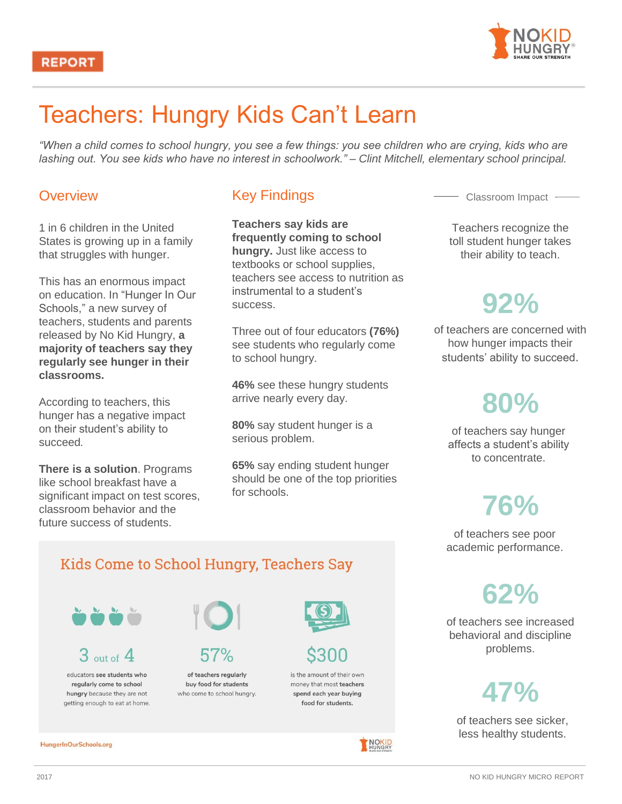

## Teachers: Hungry Kids Can't Learn

*"When a child comes to school hungry, you see a few things: you see children who are crying, kids who are lashing out. You see kids who have no interest in schoolwork." – Clint Mitchell, elementary school principal.* 

#### **Overview**

1 in 6 children in the United States is growing up in a family that struggles with hunger.

This has an enormous impact on education. In "Hunger In Our Schools," a new survey of teachers, students and parents released by No Kid Hungry, **a majority of teachers say they regularly see hunger in their classrooms.** 

According to teachers, this hunger has a negative impact on their student's ability to succeed*.* 

**There is a solution**. Programs like school breakfast have a significant impact on test scores, classroom behavior and the future success of students.

### Key Findings

**Teachers say kids are frequently coming to school hungry.** Just like access to textbooks or school supplies, teachers see access to nutrition as instrumental to a student's success.

Three out of four educators **(76%)**  see students who regularly come to school hungry.

**46%** see these hungry students arrive nearly every day.

**80%** say student hunger is a serious problem.

**65%** say ending student hunger should be one of the top priorities for schools.

Classroom Impact

Teachers recognize the toll student hunger takes their ability to teach.

## **92%**

of teachers are concerned with how hunger impacts their students' ability to succeed.

# **80%**

of teachers say hunger affects a student's ability to concentrate.

# **76%**

of teachers see poor academic performance.

**62%**

of teachers see increased behavioral and discipline problems.

# **47%**

of teachers see sicker, less healthy students.

### Kids Come to School Hungry, Teachers Say



 $3<sub>out of</sub> 4$ 

educators see students who regularly come to school hungry because they are not getting enough to eat at home.

HungerInOurSchools.org



of teachers regularly

buy food for students who come to school hungry.



is the amount of their own money that most teachers spend each year buying food for students.